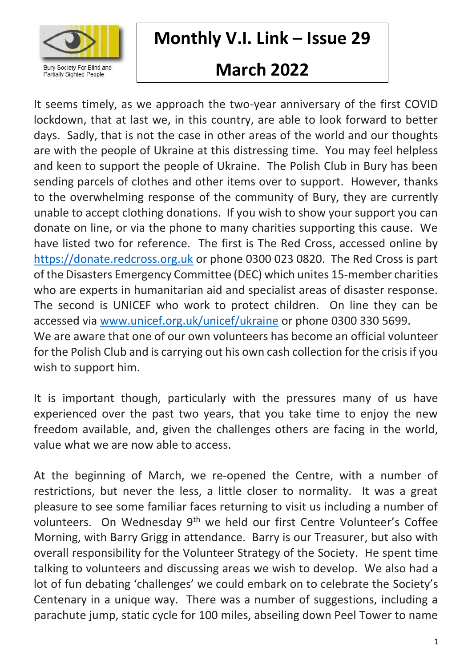

## **Monthly V.I. Link – Issue 29**

# **March 2022**

It seems timely, as we approach the two-year anniversary of the first COVID lockdown, that at last we, in this country, are able to look forward to better days. Sadly, that is not the case in other areas of the world and our thoughts are with the people of Ukraine at this distressing time. You may feel helpless and keen to support the people of Ukraine. The Polish Club in Bury has been sending parcels of clothes and other items over to support. However, thanks to the overwhelming response of the community of Bury, they are currently unable to accept clothing donations. If you wish to show your support you can donate on line, or via the phone to many charities supporting this cause. We have listed two for reference. The first is The Red Cross, accessed online by [https://donate.redcross.org.uk](https://donate.redcross.org.uk/) or phone 0300 023 0820. The Red Cross is part of the Disasters Emergency Committee (DEC) which unites 15-member charities who are experts in humanitarian aid and specialist areas of disaster response. The second is UNICEF who work to protect children. On line they can be accessed via [www.unicef.org.uk/unicef/ukraine](http://www.unicef.org.uk/unicef/ukraine) or phone 0300 330 5699. We are aware that one of our own volunteers has become an official volunteer for the Polish Club and is carrying out his own cash collection for the crisis if you wish to support him.

It is important though, particularly with the pressures many of us have experienced over the past two years, that you take time to enjoy the new freedom available, and, given the challenges others are facing in the world, value what we are now able to access.

At the beginning of March, we re-opened the Centre, with a number of restrictions, but never the less, a little closer to normality. It was a great pleasure to see some familiar faces returning to visit us including a number of volunteers. On Wednesday 9<sup>th</sup> we held our first Centre Volunteer's Coffee Morning, with Barry Grigg in attendance. Barry is our Treasurer, but also with overall responsibility for the Volunteer Strategy of the Society. He spent time talking to volunteers and discussing areas we wish to develop. We also had a lot of fun debating 'challenges' we could embark on to celebrate the Society's Centenary in a unique way. There was a number of suggestions, including a parachute jump, static cycle for 100 miles, abseiling down Peel Tower to name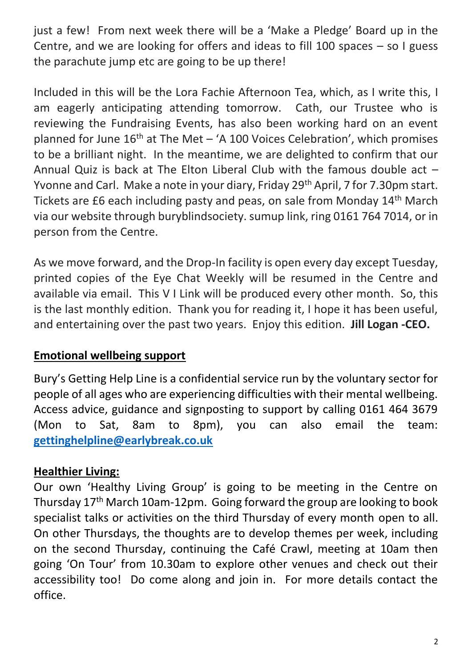just a few! From next week there will be a 'Make a Pledge' Board up in the Centre, and we are looking for offers and ideas to fill 100 spaces – so I guess the parachute jump etc are going to be up there!

Included in this will be the Lora Fachie Afternoon Tea, which, as I write this, I am eagerly anticipating attending tomorrow. Cath, our Trustee who is reviewing the Fundraising Events, has also been working hard on an event planned for June  $16<sup>th</sup>$  at The Met – 'A 100 Voices Celebration', which promises to be a brilliant night. In the meantime, we are delighted to confirm that our Annual Quiz is back at The Elton Liberal Club with the famous double act – Yvonne and Carl. Make a note in your diary, Friday 29<sup>th</sup> April, 7 for 7.30pm start. Tickets are £6 each including pasty and peas, on sale from Monday 14th March via our website through buryblindsociety. sumup link, ring 0161 764 7014, or in person from the Centre.

As we move forward, and the Drop-In facility is open every day except Tuesday, printed copies of the Eye Chat Weekly will be resumed in the Centre and available via email. This V I Link will be produced every other month. So, this is the last monthly edition. Thank you for reading it, I hope it has been useful, and entertaining over the past two years. Enjoy this edition. **Jill Logan -CEO.**

#### **Emotional wellbeing support**

Bury's Getting Help Line is a confidential service run by the voluntary sector for people of all ages who are experiencing difficulties with their mental wellbeing. Access advice, guidance and signposting to support by calling 0161 464 3679 (Mon to Sat, 8am to 8pm), you can also email the team: **[gettinghelpline@earlybreak.co.uk](mailto:gettinghelpline@earlybreak.co.uk)**

## **Healthier Living:**

Our own 'Healthy Living Group' is going to be meeting in the Centre on Thursday 17th March 10am-12pm. Going forward the group are looking to book specialist talks or activities on the third Thursday of every month open to all. On other Thursdays, the thoughts are to develop themes per week, including on the second Thursday, continuing the Café Crawl, meeting at 10am then going 'On Tour' from 10.30am to explore other venues and check out their accessibility too! Do come along and join in. For more details contact the office.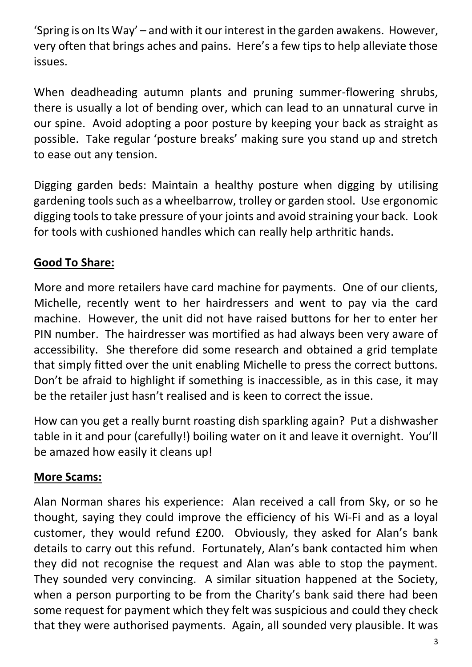'Spring is on Its Way' – and with it our interest in the garden awakens. However, very often that brings aches and pains. Here's a few tips to help alleviate those issues.

When deadheading autumn plants and pruning summer-flowering shrubs, there is usually a lot of bending over, which can lead to an unnatural curve in our spine. Avoid adopting a poor posture by keeping your back as straight as possible. Take regular 'posture breaks' making sure you stand up and stretch to ease out any tension.

Digging garden beds: Maintain a healthy posture when digging by utilising gardening tools such as a wheelbarrow, trolley or garden stool. Use ergonomic digging tools to take pressure of your joints and avoid straining your back. Look for tools with cushioned handles which can really help arthritic hands.

## **Good To Share:**

More and more retailers have card machine for payments. One of our clients, Michelle, recently went to her hairdressers and went to pay via the card machine. However, the unit did not have raised buttons for her to enter her PIN number. The hairdresser was mortified as had always been very aware of accessibility. She therefore did some research and obtained a grid template that simply fitted over the unit enabling Michelle to press the correct buttons. Don't be afraid to highlight if something is inaccessible, as in this case, it may be the retailer just hasn't realised and is keen to correct the issue.

How can you get a really burnt roasting dish sparkling again? Put a dishwasher table in it and pour (carefully!) boiling water on it and leave it overnight. You'll be amazed how easily it cleans up!

## **More Scams:**

Alan Norman shares his experience: Alan received a call from Sky, or so he thought, saying they could improve the efficiency of his Wi-Fi and as a loyal customer, they would refund £200. Obviously, they asked for Alan's bank details to carry out this refund. Fortunately, Alan's bank contacted him when they did not recognise the request and Alan was able to stop the payment. They sounded very convincing. A similar situation happened at the Society, when a person purporting to be from the Charity's bank said there had been some request for payment which they felt was suspicious and could they check that they were authorised payments. Again, all sounded very plausible. It was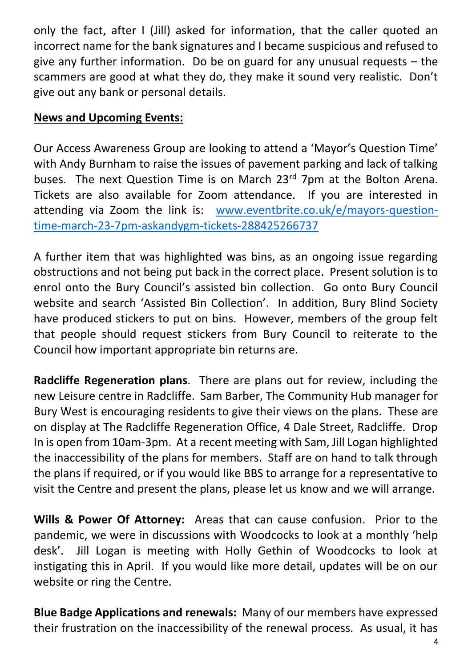only the fact, after I (Jill) asked for information, that the caller quoted an incorrect name for the bank signatures and I became suspicious and refused to give any further information. Do be on guard for any unusual requests – the scammers are good at what they do, they make it sound very realistic. Don't give out any bank or personal details.

## **News and Upcoming Events:**

Our Access Awareness Group are looking to attend a 'Mayor's Question Time' with Andy Burnham to raise the issues of pavement parking and lack of talking buses. The next Question Time is on March 23<sup>rd</sup> 7pm at the Bolton Arena. Tickets are also available for Zoom attendance. If you are interested in attending via Zoom the link is: [www.eventbrite.co.uk/e/mayors-question](http://www.eventbrite.co.uk/e/mayors-question-time-march-23-7pm-askandygm-tickets-288425266737)[time-march-23-7pm-askandygm-tickets-288425266737](http://www.eventbrite.co.uk/e/mayors-question-time-march-23-7pm-askandygm-tickets-288425266737)

A further item that was highlighted was bins, as an ongoing issue regarding obstructions and not being put back in the correct place. Present solution is to enrol onto the Bury Council's assisted bin collection. Go onto Bury Council website and search 'Assisted Bin Collection'. In addition, Bury Blind Society have produced stickers to put on bins. However, members of the group felt that people should request stickers from Bury Council to reiterate to the Council how important appropriate bin returns are.

**Radcliffe Regeneration plans**. There are plans out for review, including the new Leisure centre in Radcliffe. Sam Barber, The Community Hub manager for Bury West is encouraging residents to give their views on the plans. These are on display at The Radcliffe Regeneration Office, 4 Dale Street, Radcliffe. Drop In is open from 10am-3pm. At a recent meeting with Sam, Jill Logan highlighted the inaccessibility of the plans for members. Staff are on hand to talk through the plans if required, or if you would like BBS to arrange for a representative to visit the Centre and present the plans, please let us know and we will arrange.

**Wills & Power Of Attorney:** Areas that can cause confusion. Prior to the pandemic, we were in discussions with Woodcocks to look at a monthly 'help desk'. Jill Logan is meeting with Holly Gethin of Woodcocks to look at instigating this in April. If you would like more detail, updates will be on our website or ring the Centre.

**Blue Badge Applications and renewals:** Many of our members have expressed their frustration on the inaccessibility of the renewal process. As usual, it has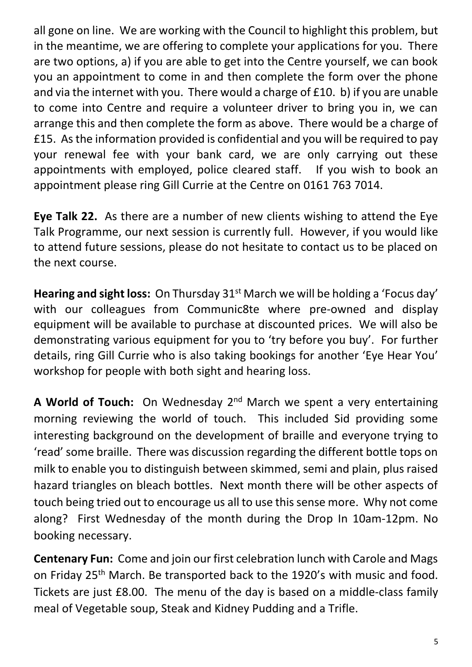all gone on line. We are working with the Council to highlight this problem, but in the meantime, we are offering to complete your applications for you. There are two options, a) if you are able to get into the Centre yourself, we can book you an appointment to come in and then complete the form over the phone and via the internet with you. There would a charge of £10. b) if you are unable to come into Centre and require a volunteer driver to bring you in, we can arrange this and then complete the form as above. There would be a charge of £15. As the information provided is confidential and you will be required to pay your renewal fee with your bank card, we are only carrying out these appointments with employed, police cleared staff. If you wish to book an appointment please ring Gill Currie at the Centre on 0161 763 7014.

**Eye Talk 22.** As there are a number of new clients wishing to attend the Eye Talk Programme, our next session is currently full. However, if you would like to attend future sessions, please do not hesitate to contact us to be placed on the next course.

**Hearing and sight loss:** On Thursday 31<sup>st</sup> March we will be holding a 'Focus day' with our colleagues from Communic8te where pre-owned and display equipment will be available to purchase at discounted prices. We will also be demonstrating various equipment for you to 'try before you buy'. For further details, ring Gill Currie who is also taking bookings for another 'Eye Hear You' workshop for people with both sight and hearing loss.

**A World of Touch:** On Wednesday 2nd March we spent a very entertaining morning reviewing the world of touch. This included Sid providing some interesting background on the development of braille and everyone trying to 'read' some braille. There was discussion regarding the different bottle tops on milk to enable you to distinguish between skimmed, semi and plain, plus raised hazard triangles on bleach bottles. Next month there will be other aspects of touch being tried out to encourage us all to use this sense more. Why not come along? First Wednesday of the month during the Drop In 10am-12pm. No booking necessary.

**Centenary Fun:** Come and join our first celebration lunch with Carole and Mags on Friday 25<sup>th</sup> March. Be transported back to the 1920's with music and food. Tickets are just £8.00. The menu of the day is based on a middle-class family meal of Vegetable soup, Steak and Kidney Pudding and a Trifle.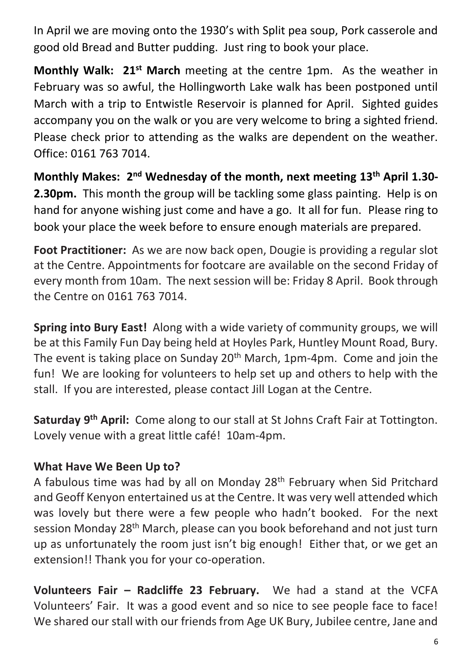In April we are moving onto the 1930's with Split pea soup, Pork casserole and good old Bread and Butter pudding. Just ring to book your place.

**Monthly Walk: 21st March** meeting at the centre 1pm. As the weather in February was so awful, the Hollingworth Lake walk has been postponed until March with a trip to Entwistle Reservoir is planned for April. Sighted guides accompany you on the walk or you are very welcome to bring a sighted friend. Please check prior to attending as the walks are dependent on the weather. Office: 0161 763 7014.

**Monthly Makes: 2nd Wednesday of the month, next meeting 13th April 1.30- 2.30pm.** This month the group will be tackling some glass painting. Help is on hand for anyone wishing just come and have a go. It all for fun. Please ring to book your place the week before to ensure enough materials are prepared.

**Foot Practitioner:** As we are now back open, Dougie is providing a regular slot at the Centre. Appointments for footcare are available on the second Friday of every month from 10am. The next session will be: Friday 8 April. Book through the Centre on 0161 763 7014.

**Spring into Bury East!** Along with a wide variety of community groups, we will be at this Family Fun Day being held at Hoyles Park, Huntley Mount Road, Bury. The event is taking place on Sunday  $20<sup>th</sup>$  March, 1pm-4pm. Come and join the fun! We are looking for volunteers to help set up and others to help with the stall. If you are interested, please contact Jill Logan at the Centre.

**Saturday 9th April:** Come along to our stall at St Johns Craft Fair at Tottington. Lovely venue with a great little café! 10am-4pm.

## **What Have We Been Up to?**

A fabulous time was had by all on Monday 28<sup>th</sup> February when Sid Pritchard and Geoff Kenyon entertained us at the Centre. It was very well attended which was lovely but there were a few people who hadn't booked. For the next session Monday 28th March, please can you book beforehand and not just turn up as unfortunately the room just isn't big enough! Either that, or we get an extension!! Thank you for your co-operation.

**Volunteers Fair – Radcliffe 23 February.** We had a stand at the VCFA Volunteers' Fair. It was a good event and so nice to see people face to face! We shared our stall with our friends from Age UK Bury, Jubilee centre, Jane and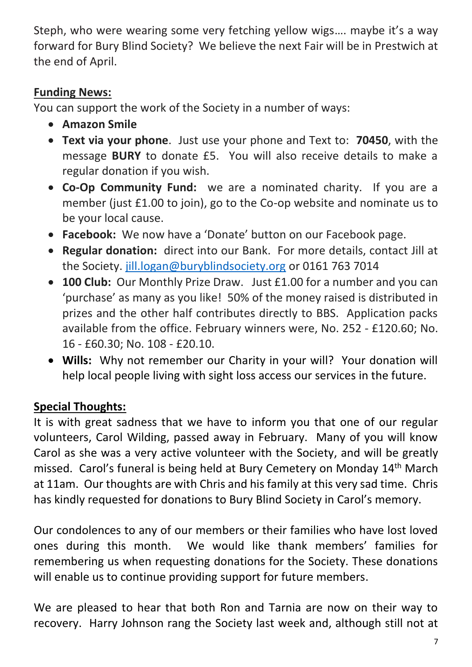Steph, who were wearing some very fetching yellow wigs…. maybe it's a way forward for Bury Blind Society? We believe the next Fair will be in Prestwich at the end of April.

## **Funding News:**

You can support the work of the Society in a number of ways:

- **Amazon Smile**
- **Text via your phone**. Just use your phone and Text to: **70450**, with the message **BURY** to donate £5. You will also receive details to make a regular donation if you wish.
- **Co-Op Community Fund:** we are a nominated charity. If you are a member (just £1.00 to join), go to the Co-op website and nominate us to be your local cause.
- **Facebook:** We now have a 'Donate' button on our Facebook page.
- **Regular donation:** direct into our Bank. For more details, contact Jill at the Society. [jill.logan@buryblindsociety.org](mailto:jill.logan@buryblindsociety.org) or 0161 763 7014
- **100 Club:** Our Monthly Prize Draw. Just £1.00 for a number and you can 'purchase' as many as you like! 50% of the money raised is distributed in prizes and the other half contributes directly to BBS. Application packs available from the office. February winners were, No. 252 - £120.60; No. 16 - £60.30; No. 108 - £20.10.
- **Wills:** Why not remember our Charity in your will? Your donation will help local people living with sight loss access our services in the future.

## **Special Thoughts:**

It is with great sadness that we have to inform you that one of our regular volunteers, Carol Wilding, passed away in February. Many of you will know Carol as she was a very active volunteer with the Society, and will be greatly missed. Carol's funeral is being held at Bury Cemetery on Monday 14th March at 11am. Our thoughts are with Chris and his family at this very sad time. Chris has kindly requested for donations to Bury Blind Society in Carol's memory.

Our condolences to any of our members or their families who have lost loved ones during this month. We would like thank members' families for remembering us when requesting donations for the Society. These donations will enable us to continue providing support for future members.

We are pleased to hear that both Ron and Tarnia are now on their way to recovery. Harry Johnson rang the Society last week and, although still not at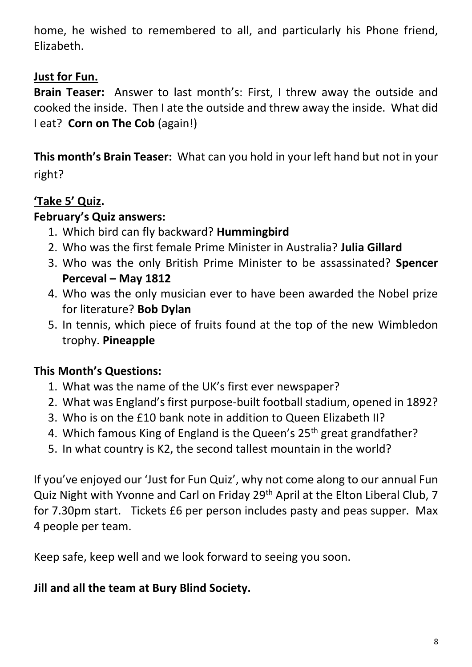home, he wished to remembered to all, and particularly his Phone friend, Elizabeth.

## **Just for Fun.**

**Brain Teaser:** Answer to last month's: First, I threw away the outside and cooked the inside. Then I ate the outside and threw away the inside. What did I eat? **Corn on The Cob** (again!)

**This month's Brain Teaser:** What can you hold in your left hand but not in your right?

## **'Take 5' Quiz.**

#### **February's Quiz answers:**

- 1. Which bird can fly backward? **Hummingbird**
- 2. Who was the first female Prime Minister in Australia? **Julia Gillard**
- 3. Who was the only British Prime Minister to be assassinated? **Spencer Perceval – May 1812**
- 4. Who was the only musician ever to have been awarded the Nobel prize for literature? **Bob Dylan**
- 5. In tennis, which piece of fruits found at the top of the new Wimbledon trophy. **Pineapple**

## **This Month's Questions:**

- 1. What was the name of the UK's first ever newspaper?
- 2. What was England's first purpose-built football stadium, opened in 1892?
- 3. Who is on the £10 bank note in addition to Queen Elizabeth II?
- 4. Which famous King of England is the Queen's 25<sup>th</sup> great grandfather?
- 5. In what country is K2, the second tallest mountain in the world?

If you've enjoyed our 'Just for Fun Quiz', why not come along to our annual Fun Quiz Night with Yvonne and Carl on Friday 29th April at the Elton Liberal Club, 7 for 7.30pm start. Tickets £6 per person includes pasty and peas supper. Max 4 people per team.

Keep safe, keep well and we look forward to seeing you soon.

#### **Jill and all the team at Bury Blind Society.**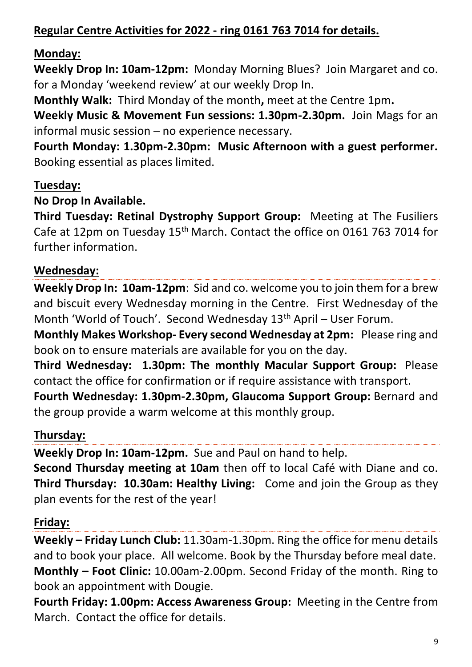## **Regular Centre Activities for 2022 - ring 0161 763 7014 for details.**

## **Monday:**

**Weekly Drop In: 10am-12pm:** Monday Morning Blues? Join Margaret and co. for a Monday 'weekend review' at our weekly Drop In.

**Monthly Walk:** Third Monday of the month**,** meet at the Centre 1pm**.**

**Weekly Music & Movement Fun sessions: 1.30pm-2.30pm.** Join Mags for an informal music session – no experience necessary.

**Fourth Monday: 1.30pm-2.30pm: Music Afternoon with a guest performer.**  Booking essential as places limited.

## **Tuesday:**

#### **No Drop In Available.**

**Third Tuesday: Retinal Dystrophy Support Group:** Meeting at The Fusiliers Cafe at 12pm on Tuesday 15th March. Contact the office on 0161 763 7014 for further information.

## **Wednesday:**

**Weekly Drop In: 10am-12pm**: Sid and co. welcome you to join them for a brew and biscuit every Wednesday morning in the Centre. First Wednesday of the Month 'World of Touch'. Second Wednesday 13<sup>th</sup> April - User Forum.

**Monthly Makes Workshop- Every second Wednesday at 2pm:** Please ring and book on to ensure materials are available for you on the day.

**Third Wednesday: 1.30pm: The monthly Macular Support Group:** Please contact the office for confirmation or if require assistance with transport.

**Fourth Wednesday: 1.30pm-2.30pm, Glaucoma Support Group:** Bernard and the group provide a warm welcome at this monthly group.

## **Thursday:**

**Weekly Drop In: 10am-12pm.** Sue and Paul on hand to help.

**Second Thursday meeting at 10am** then off to local Café with Diane and co. **Third Thursday: 10.30am: Healthy Living:** Come and join the Group as they plan events for the rest of the year!

## **Friday:**

**Weekly – Friday Lunch Club:** 11.30am-1.30pm. Ring the office for menu details and to book your place. All welcome. Book by the Thursday before meal date. **Monthly – Foot Clinic:** 10.00am-2.00pm. Second Friday of the month. Ring to book an appointment with Dougie.

**Fourth Friday: 1.00pm: Access Awareness Group:** Meeting in the Centre from March. Contact the office for details.